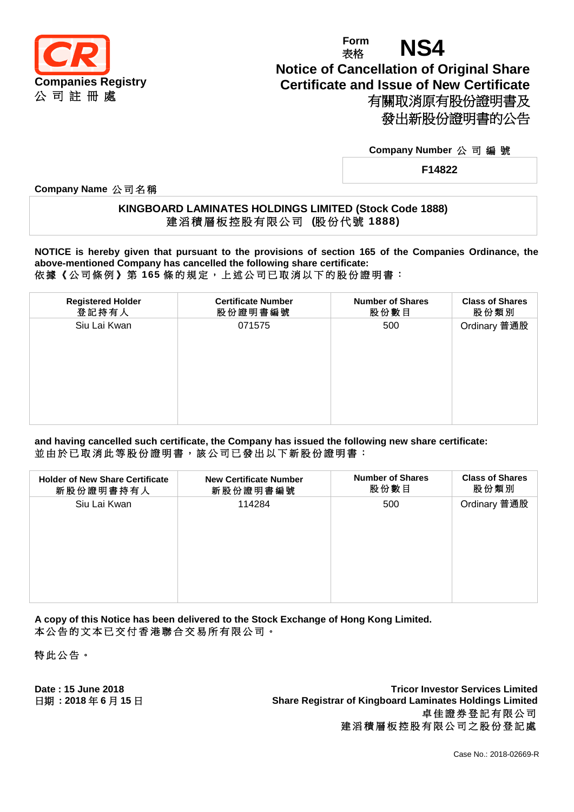

# **Form** Form **NS4 Notice of Cancellation of Original Share Certificate and Issue of New Certificate** 有關取消原有股份證明書及 發出新股份證明書的公告

### **Company Number** 公 司 編 號

**F14822**

**Company Name** 公 司 名 稱

## **KINGBOARD LAMINATES HOLDINGS LIMITED (Stock Code 1888)** 建 滔 積 層 板 控 股 有 限 公 司 **(**股 份 代 號 **1888)**

**NOTICE is hereby given that pursuant to the provisions of section 165 of the Companies Ordinance, the above-mentioned Company has cancelled the following share certificate:** 依據《公司條例》第 **165** 條 的 規 定 , 上 述 公 司 已 取 消 以 下 的 股 份 證 明 書 :

| <b>Registered Holder</b><br><b>Certificate Number</b><br><b>Number of Shares</b><br><b>Class of Shares</b><br>登記持有人<br>股份數目<br>股份類別<br>股份證明書編號<br>Ordinary 普通股<br>Siu Lai Kwan<br>071575<br>500 |  |  |
|-------------------------------------------------------------------------------------------------------------------------------------------------------------------------------------------------|--|--|
|                                                                                                                                                                                                 |  |  |
|                                                                                                                                                                                                 |  |  |

**and having cancelled such certificate, the Company has issued the following new share certificate:** 並由於已取消此等股份證明書,該公司已發出以下新股份證明書:

| <b>Holder of New Share Certificate</b><br>新股份證明書持有人 | <b>New Certificate Number</b><br>新股份證明書編號 | <b>Number of Shares</b><br>股份數目 | <b>Class of Shares</b><br>股份類別 |
|-----------------------------------------------------|-------------------------------------------|---------------------------------|--------------------------------|
| Siu Lai Kwan                                        | 114284                                    | 500                             | Ordinary 普通股                   |
|                                                     |                                           |                                 |                                |

**A copy of this Notice has been delivered to the Stock Exchange of Hong Kong Limited.** 本公告的文本已交付香港聯合交易所有限公司。

特此公告 。

**Date : 15 June 2018 Tricor Investor Services Limited** 日期 **: 2018** 年 **6** 月 **15** 日 **Share Registrar of Kingboard Laminates Holdings Limited** 卓佳證券登記有限公司 建滔積層板控股有限公司之股份登記處